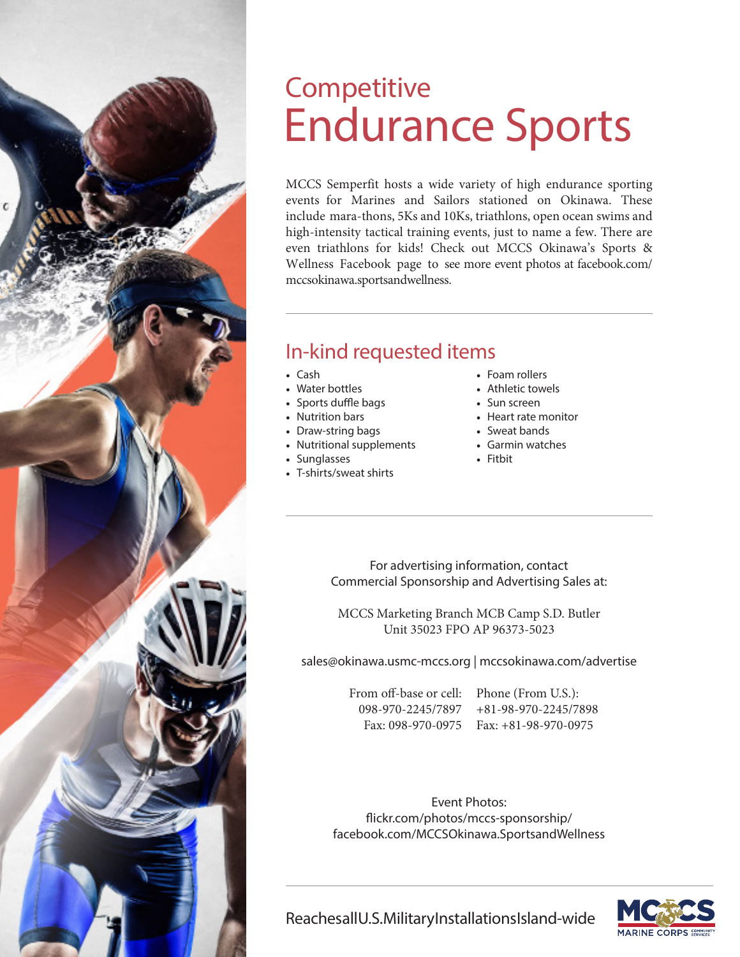## Endurance Sports **Competitive**

MCCS Semperfit hosts a wide variety of high endurance sporting events for Marines and Sailors stationed on Okinawa. These include mara-thons, 5Ks and 10Ks, triathlons, open ocean swims and high-intensity tactical training events, just to name a few. There are even triathlons for kids! Check out MCCS Okinawa's Sports & Wellness Facebook page to see more event photos at facebook.com/ mccsokinawa.sportsandwellness.

#### In-kind requested items

- Cash
- Water bottles
- Sports duffle bags
- Nutrition bars
- Draw-string bags
- Nutritional supplements
- Sunglasses
- T-shirts/sweat shirts
- Foam rollers
- Athletic towels
- Sun screen
- Heart rate monitor
- Sweat bands
- Garmin watches
- Fitbit

For advertising information, contact Commercial Sponsorship and Advertising Sales at:

MCCS Marketing Branch MCB Camp S.D. Butler Unit 35023 FPO AP 96373-5023

sales@okinawa.usmc-mccs.org | mccsokinawa.com/advertise

From off-base or cell: 098-970-2245/7897 +81-98-970-2245/7898 Fax: 098-970-0975 Fax: +81-98-970-0975

Phone (From U.S.):

Event Photos: flickr.com/photos/mccs-sponsorship/ facebook.com/MCCSOkinawa.SportsandWellness



Reaches all U.S. Military Installations Island-wide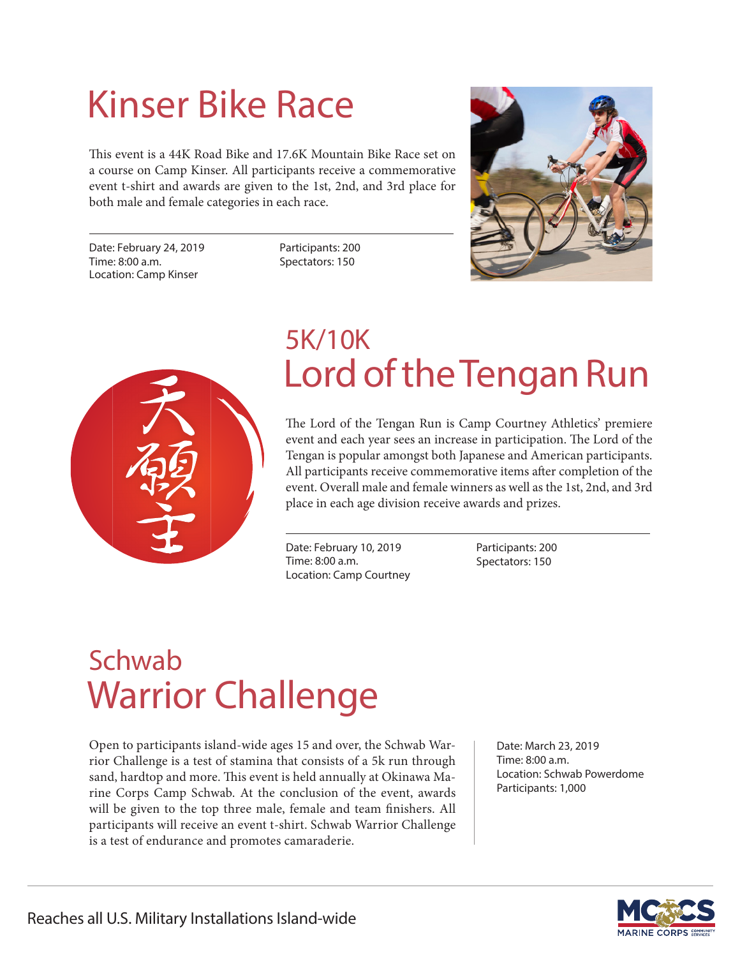# Kinser Bike Race

This event is a 44K Road Bike and 17.6K Mountain Bike Race set on a course on Camp Kinser. All participants receive a commemorative event t-shirt and awards are given to the 1st, 2nd, and 3rd place for both male and female categories in each race.

Date: February 24, 2019 Time: 8:00 a.m. Location: Camp Kinser

Participants: 200 Spectators: 150





### Lord of the Tengan Run 5K/10K

The Lord of the Tengan Run is Camp Courtney Athletics' premiere event and each year sees an increase in participation. The Lord of the Tengan is popular amongst both Japanese and American participants. All participants receive commemorative items after completion of the event. Overall male and female winners as well as the 1st, 2nd, and 3rd place in each age division receive awards and prizes.

Date: February 10, 2019 Time: 8:00 a.m. Location: Camp Courtney Participants: 200 Spectators: 150

## Warrior Challenge Schwab

Open to participants island-wide ages 15 and over, the Schwab Warrior Challenge is a test of stamina that consists of a 5k run through sand, hardtop and more. This event is held annually at Okinawa Marine Corps Camp Schwab. At the conclusion of the event, awards will be given to the top three male, female and team finishers. All participants will receive an event t-shirt. Schwab Warrior Challenge is a test of endurance and promotes camaraderie.

Date: March 23, 2019 Time: 8:00 a.m. Location: Schwab Powerdome Participants: 1,000

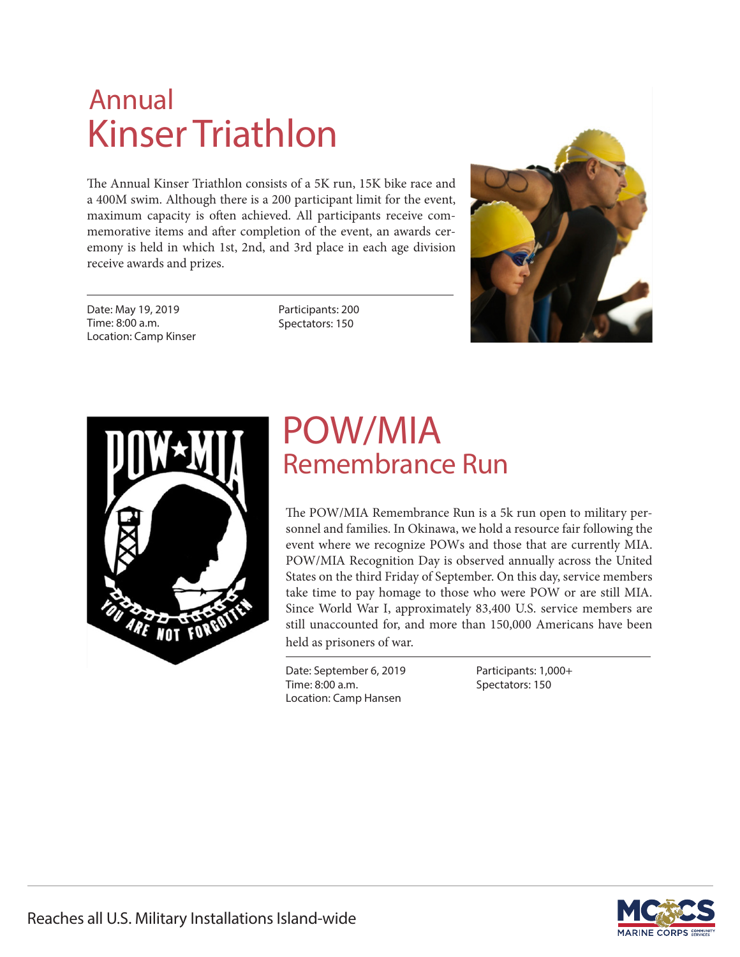## Kinser Triathlon Annual

The Annual Kinser Triathlon consists of a 5K run, 15K bike race and a 400M swim. Although there is a 200 participant limit for the event, maximum capacity is often achieved. All participants receive commemorative items and after completion of the event, an awards ceremony is held in which 1st, 2nd, and 3rd place in each age division receive awards and prizes.

Date: May 19, 2019 Time: 8:00 a.m. Location: Camp Kinser Participants: 200 Spectators: 150





#### POW/MIA Remembrance Run

The POW/MIA Remembrance Run is a 5k run open to military personnel and families. In Okinawa, we hold a resource fair following the event where we recognize POWs and those that are currently MIA. POW/MIA Recognition Day is observed annually across the United States on the third Friday of September. On this day, service members take time to pay homage to those who were POW or are still MIA. Since World War I, approximately 83,400 U.S. service members are still unaccounted for, and more than 150,000 Americans have been held as prisoners of war.

Date: September 6, 2019 Time: 8:00 a.m. Location: Camp Hansen

Participants: 1,000+ Spectators: 150